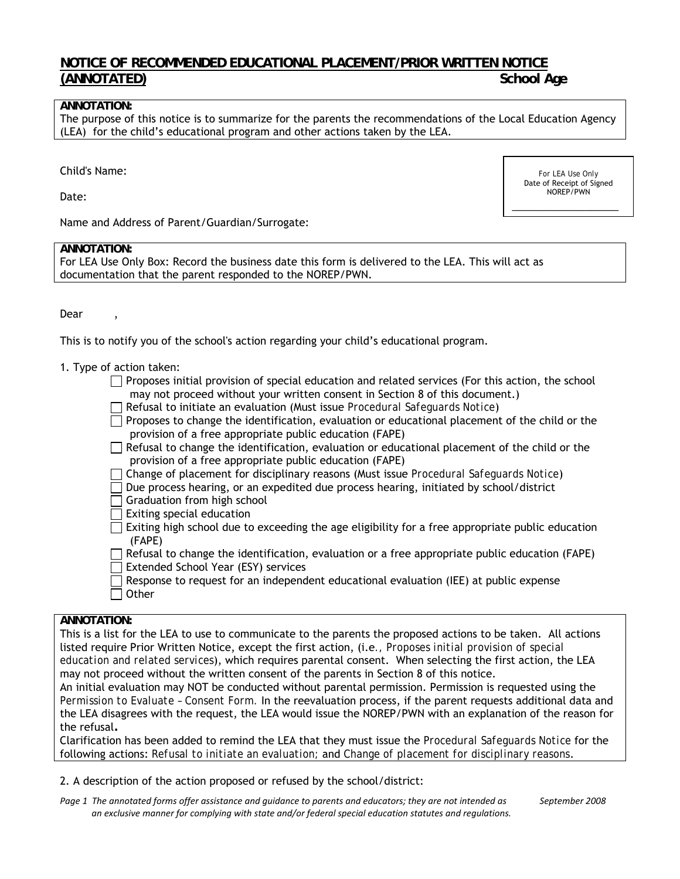# **NOTICE OF RECOMMENDED EDUCATIONAL PLACEMENT/PRIOR WRITTEN NOTICE**  (ANNOTATED) School Age **School Age 2018**

### **ANNOTATION:**

The purpose of this notice is to summarize for the parents the recommendations of the Local Education Agency (LEA) for the child's educational program and other actions taken by the LEA.

Child's Name:

Date:

*For LEA Use Only*  Date of Receipt of Signed NOREP/PWN

\_\_\_\_\_\_\_\_\_\_\_\_\_\_\_\_

Name and Address of Parent/Guardian/Surrogate:

### **ANNOTATION:**

For LEA Use Only Box: Record the business date this form is delivered to the LEA. This will act as documentation that the parent responded to the NOREP/PWN.

Dear,

This is to notify you of the school's action regarding your child's educational program.

- 1. Type of action taken:
	- $\Box$  Proposes initial provision of special education and related services (For this action, the school may not proceed without your written consent in Section 8 of this document.)
	- Refusal to initiate an evaluation (Must issue *Procedural Safeguards Notice*)
	- $\Box$  Proposes to change the identification, evaluation or educational placement of the child or the provision of a free appropriate public education (FAPE)
	- $\Box$  Refusal to change the identification, evaluation or educational placement of the child or the provision of a free appropriate public education (FAPE)
	- Change of placement for disciplinary reasons (Must issue *Procedural Safeguards Notice*)
	- $\Box$  Due process hearing, or an expedited due process hearing, initiated by school/district
	- Graduation from high school
	- $\Box$  Exiting special education
	- $\Box$  Exiting high school due to exceeding the age eligibility for a free appropriate public education (FAPE)
	- $\Box$  Refusal to change the identification, evaluation or a free appropriate public education (FAPE) Extended School Year (ESY) services
	- Response to request for an independent educational evaluation (IEE) at public expense  $\Box$  Other

### **ANNOTATION:**

This is a list for the LEA to use to communicate to the parents the proposed actions to be taken. All actions listed require Prior Written Notice, except the first action, (i.e*., Proposes initial provision of special education and related services*), which requires parental consent. When selecting the first action, the LEA may not proceed without the written consent of the parents in Section 8 of this notice.

An initial evaluation may NOT be conducted without parental permission. Permission is requested using the *Permission to Evaluate – Consent Form.* In the reevaluation process, if the parent requests additional data and the LEA disagrees with the request, the LEA would issue the NOREP/PWN with an explanation of the reason for the refusal**.**

Clarification has been added to remind the LEA that they must issue the *Procedural Safeguards Notice* for the following actions: *Refusal to initiate an evaluation;* and *Change of placement for disciplinary reasons*.

# 2. A description of the action proposed or refused by the school/district:

Page 1 The annotated forms offer assistance and guidance to parents and educators; they are not intended as September 2008  *an exclusive manner for complying with state and/or federal special education statutes and regulations.*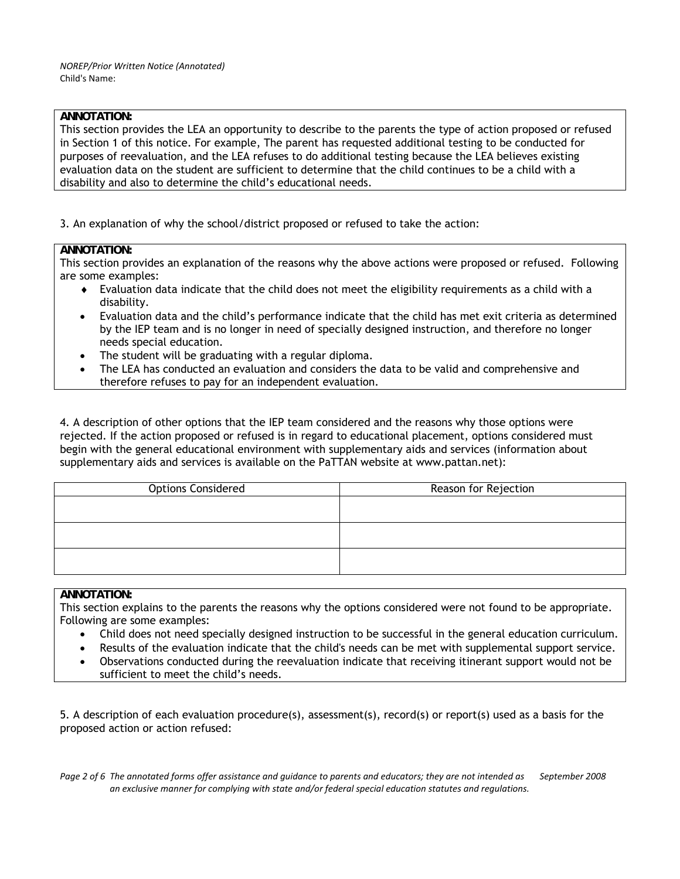# **ANNOTATION:**

This section provides the LEA an opportunity to describe to the parents the type of action proposed or refused in Section 1 of this notice. For example, The parent has requested additional testing to be conducted for purposes of reevaluation, and the LEA refuses to do additional testing because the LEA believes existing evaluation data on the student are sufficient to determine that the child continues to be a child with a disability and also to determine the child's educational needs.

3. An explanation of why the school/district proposed or refused to take the action:

# **ANNOTATION:**

This section provides an explanation of the reasons why the above actions were proposed or refused. Following are some examples:

- Evaluation data indicate that the child does not meet the eligibility requirements as a child with a disability.
- Evaluation data and the child's performance indicate that the child has met exit criteria as determined by the IEP team and is no longer in need of specially designed instruction, and therefore no longer needs special education.
- The student will be graduating with a regular diploma.
- The LEA has conducted an evaluation and considers the data to be valid and comprehensive and therefore refuses to pay for an independent evaluation.

4. A description of other options that the IEP team considered and the reasons why those options were rejected. If the action proposed or refused is in regard to educational placement, options considered must begin with the general educational environment with supplementary aids and services (information about supplementary aids and services is available on the PaTTAN website at www.pattan.net):

| <b>Options Considered</b> | Reason for Rejection |
|---------------------------|----------------------|
|                           |                      |
|                           |                      |
|                           |                      |
|                           |                      |
|                           |                      |
|                           |                      |

# **ANNOTATION:**

This section explains to the parents the reasons why the options considered were not found to be appropriate. Following are some examples:

- Child does not need specially designed instruction to be successful in the general education curriculum.
- Results of the evaluation indicate that the child's needs can be met with supplemental support service.
- Observations conducted during the reevaluation indicate that receiving itinerant support would not be sufficient to meet the child's needs.

5. A description of each evaluation procedure(s), assessment(s), record(s) or report(s) used as a basis for the proposed action or action refused:

Page 2 of 6 The annotated forms offer assistance and quidance to parents and educators; they are not intended as September 2008 an exclusive manner for complying with state and/or federal special education statutes and regulations.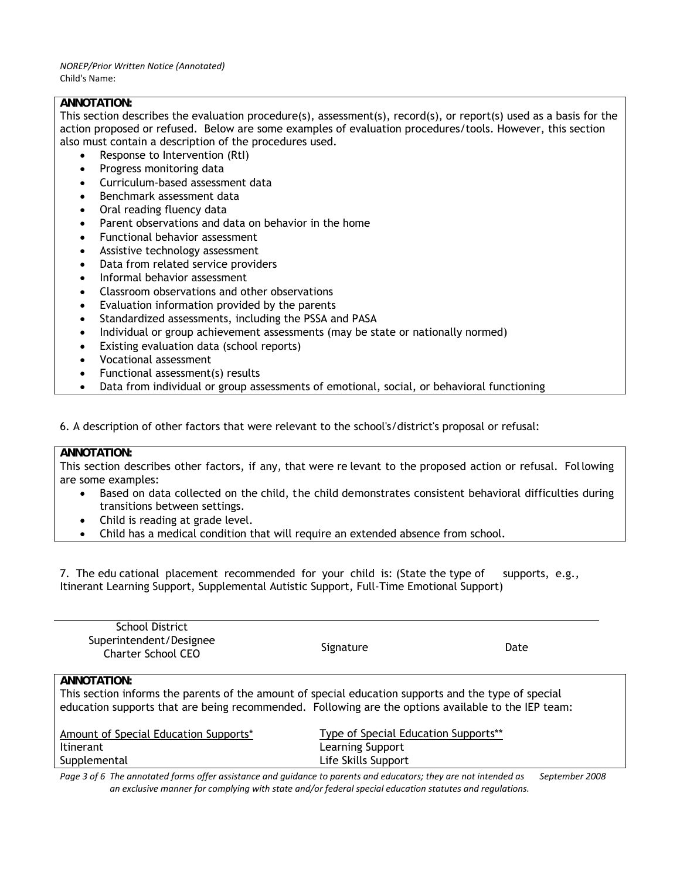### **ANNOTATION:**

This section describes the evaluation procedure(s), assessment(s), record(s), or report(s) used as a basis for the action proposed or refused. Below are some examples of evaluation procedures/tools. However, this section also must contain a description of the procedures used.

- Response to Intervention (RtI)
- Progress monitoring data
- Curriculum-based assessment data
- Benchmark assessment data
- Oral reading fluency data
- Parent observations and data on behavior in the home
- Functional behavior assessment
- Assistive technology assessment
- Data from related service providers
- Informal behavior assessment
- Classroom observations and other observations
- Evaluation information provided by the parents
- Standardized assessments, including the PSSA and PASA
- Individual or group achievement assessments (may be state or nationally normed)
- Existing evaluation data (school reports)
- Vocational assessment
- Functional assessment(s) results
- Data from individual or group assessments of emotional, social, or behavioral functioning

6. A description of other factors that were relevant to the school's/district's proposal or refusal:

### **ANNOTATION:**

This section describes other factors, if any, that were re levant to the proposed action or refusal. Following are some examples:

- Based on data collected on the child, the child demonstrates consistent behavioral difficulties during transitions between settings.
- Child is reading at grade level.
- Child has a medical condition that will require an extended absence from school.

7. The edu cational placement recommended for your child is: (State the type of supports, e.g., Itinerant Learning Support, Supplemental Autistic Support, Full-Time Emotional Support)

| <b>School District</b><br>Superintendent/Designee<br><b>Charter School CEO</b>                                                                                                                              | Signature                            | Date           |
|-------------------------------------------------------------------------------------------------------------------------------------------------------------------------------------------------------------|--------------------------------------|----------------|
| ANNOTATION:                                                                                                                                                                                                 |                                      |                |
| This section informs the parents of the amount of special education supports and the type of special<br>education supports that are being recommended. Following are the options available to the IEP team: |                                      |                |
| Amount of Special Education Supports*                                                                                                                                                                       | Type of Special Education Supports** |                |
| <b>Itinerant</b>                                                                                                                                                                                            | Learning Support                     |                |
| Supplemental                                                                                                                                                                                                | Life Skills Support                  |                |
| Page 3 of 6. The annotated forms offer assistance and quidance to parents and educators: they are not intended as                                                                                           |                                      | Sentemher 2008 |

ssistance and guidance to parents and educators; they are not intended as an exclusive manner for complying with state and/or federal special education statutes and regulations.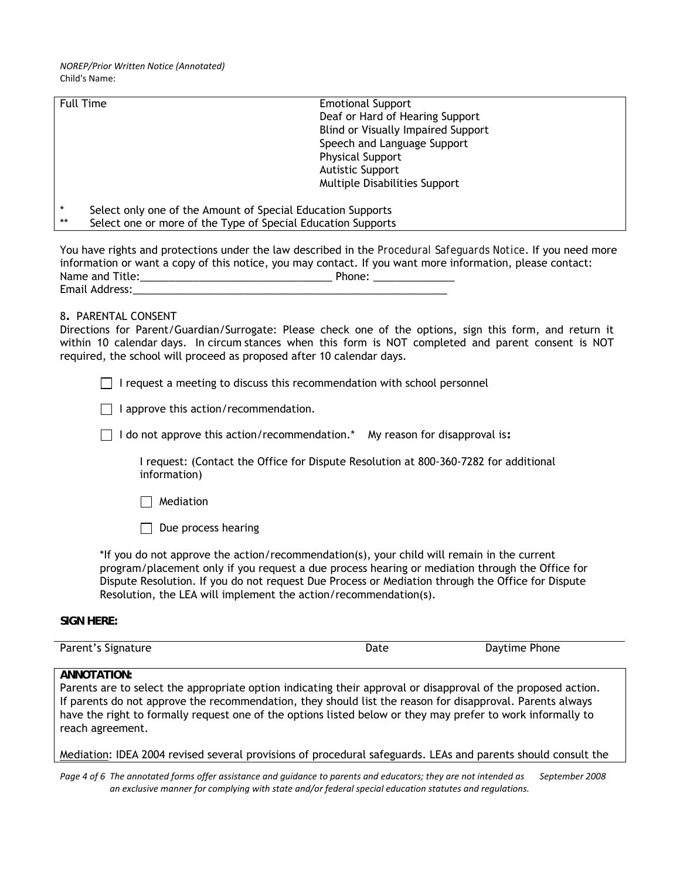| <b>Full Time</b> | <b>Emotional Support</b>                                     |
|------------------|--------------------------------------------------------------|
|                  | Deaf or Hard of Hearing Support                              |
|                  | <b>Blind or Visually Impaired Support</b>                    |
|                  | Speech and Language Support                                  |
|                  | <b>Physical Support</b>                                      |
|                  | <b>Autistic Support</b>                                      |
|                  | <b>Multiple Disabilities Support</b>                         |
|                  |                                                              |
| $\star$          | Select only one of the Amount of Special Education Supports  |
| **               | Select one or more of the Type of Special Education Supports |

You have rights and protections under the law described in the *Procedural Safeguards Notice*. If you need more information or want a copy of this notice, you may contact. If you want more information, please contact: Name and Title:\_\_\_\_\_\_\_\_\_\_\_\_\_\_\_\_\_\_\_\_\_\_\_\_\_\_\_\_\_\_\_\_\_ Phone: \_\_\_\_\_\_\_\_\_\_\_\_\_\_ Email Address:\_\_\_\_\_\_\_\_\_\_\_\_\_\_\_\_\_\_\_\_\_\_\_\_\_\_\_\_\_\_\_\_\_\_\_\_\_\_\_\_\_\_\_\_\_\_\_\_\_\_\_\_\_\_

### 8**.** PARENTAL CONSENT

Directions for Parent/Guardian/Surrogate: Please check one of the options, sign this form, and return it within 10 calendar days. In circum stances when this form is NOT completed and parent consent is NOT required, the school will proceed as proposed after 10 calendar days.

 $\Box$  I request a meeting to discuss this recommendation with school personnel

 $\Box$  I approve this action/recommendation.

I do not approve this action/recommendation.\* My reason for disapproval is**:** 

I request: (Contact the Office for Dispute Resolution at 800-360-7282 for additional information)

 $\Box$  Mediation

 $\Box$  Due process hearing

\*If you do not approve the action/recommendation(s), your child will remain in the current program/placement only if you request a due process hearing or mediation through the Office for Dispute Resolution. If you do not request Due Process or Mediation through the Office for Dispute Resolution, the LEA will implement the action/recommendation(s).

### **SIGN HERE:**

Parent's Signature **Date** Daytime Phone

### **ANNOTATION:**

Parents are to select the appropriate option indicating their approval or disapproval of the proposed action. If parents do not approve the recommendation, they should list the reason for disapproval. Parents always have the right to formally request one of the options listed below or they may prefer to work informally to reach agreement.

### Mediation: IDEA 2004 revised several provisions of procedural safeguards. LEAs and parents should consult the

Page 4 of 6 The annotated forms offer assistance and quidance to parents and educators; they are not intended as September 2008 an exclusive manner for complying with state and/or federal special education statutes and regulations.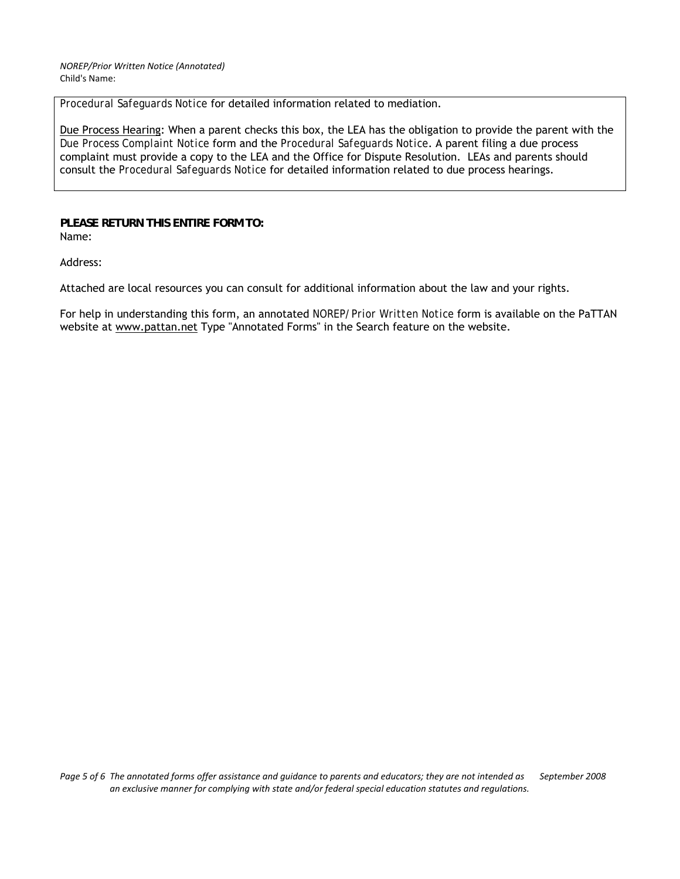*Procedural Safeguards Notice* for detailed information related to mediation.

Due Process Hearing: When a parent checks this box, the LEA has the obligation to provide the parent with the *Due Process Complaint Notice* form and the *Procedural Safeguards Notice*. A parent filing a due process complaint must provide a copy to the LEA and the Office for Dispute Resolution. LEAs and parents should consult the *Procedural Safeguards Notice* for detailed information related to due process hearings.

**PLEASE RETURN THIS ENTIRE FORM TO:**  Name:

Address:

Attached are local resources you can consult for additional information about the law and your rights.

For help in understanding this form, an annotated *NOREP/Prior Written Notice* form is available on the PaTTAN website at [www.pattan.net](http://www.pattan.net/) Type "Annotated Forms" in the Search feature on the website.